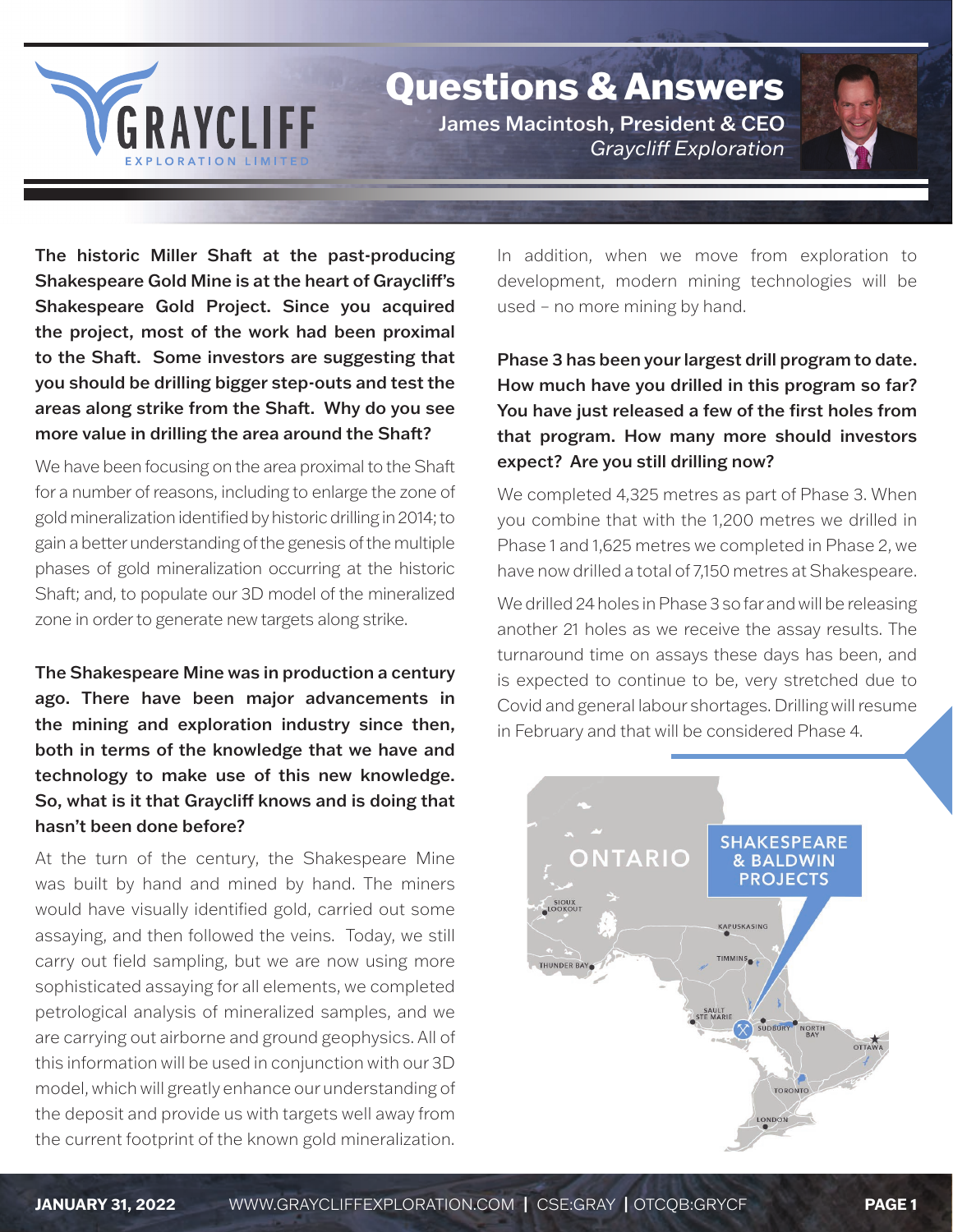

## Questions & Answers

James Macintosh, President & CEO *Graycli Exploration*



The historic Miller Shaft at the past-producing Shakespeare Gold Mine is at the heart of Graycliff's Shakespeare Gold Project. Since you acquired the project, most of the work had been proximal to the Shaft. Some investors are suggesting that you should be drilling bigger step-outs and test the areas along strike from the Shaft. Why do you see more value in drilling the area around the Shaft?

We have been focusing on the area proximal to the Shaft for a number of reasons, including to enlarge the zone of gold mineralization identified by historic drilling in 2014; to gain a better understanding of the genesis of the multiple phases of gold mineralization occurring at the historic Shaft; and, to populate our 3D model of the mineralized zone in order to generate new targets along strike.

The Shakespeare Mine was in production a century ago. There have been major advancements in the mining and exploration industry since then, both in terms of the knowledge that we have and technology to make use of this new knowledge. So, what is it that Graycliff knows and is doing that hasn't been done before?

At the turn of the century, the Shakespeare Mine was built by hand and mined by hand. The miners would have visually identified gold, carried out some assaying, and then followed the veins. Today, we still carry out field sampling, but we are now using more sophisticated assaying for all elements, we completed petrological analysis of mineralized samples, and we are carrying out airborne and ground geophysics. All of this information will be used in conjunction with our 3D model, which will greatly enhance our understanding of the deposit and provide us with targets well away from the current footprint of the known gold mineralization. In addition, when we move from exploration to development, modern mining technologies will be used – no more mining by hand.

Phase 3 has been your largest drill program to date. How much have you drilled in this program so far? You have just released a few of the first holes from that program. How many more should investors expect? Are you still drilling now?

We completed 4,325 metres as part of Phase 3. When you combine that with the 1,200 metres we drilled in Phase 1 and 1,625 metres we completed in Phase 2, we have now drilled a total of 7,150 metres at Shakespeare.

We drilled 24 holes in Phase 3 so far and will be releasing another 21 holes as we receive the assay results. The turnaround time on assays these days has been, and is expected to continue to be, very stretched due to Covid and general labour shortages. Drilling will resume in February and that will be considered Phase 4.